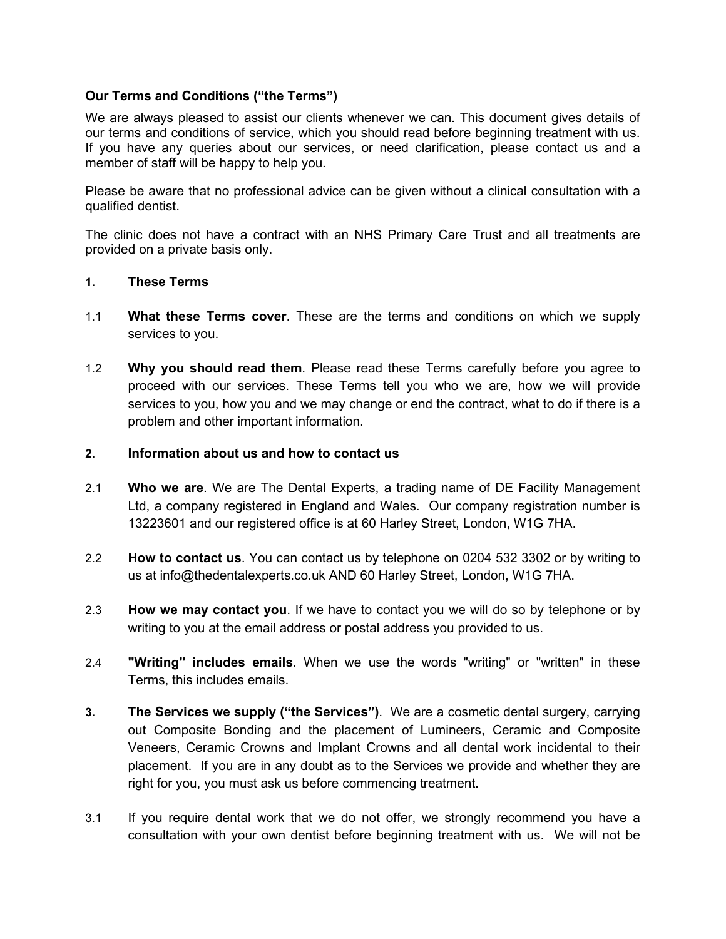# **Our Terms and Conditions ("the Terms")**

We are always pleased to assist our clients whenever we can. This document gives details of our terms and conditions of service, which you should read before beginning treatment with us. If you have any queries about our services, or need clarification, please contact us and a member of staff will be happy to help you.

Please be aware that no professional advice can be given without a clinical consultation with a qualified dentist.

The clinic does not have a contract with an NHS Primary Care Trust and all treatments are provided on a private basis only.

# **1. These Terms**

- 1.1 **What these Terms cover**. These are the terms and conditions on which we supply services to you.
- 1.2 **Why you should read them**. Please read these Terms carefully before you agree to proceed with our services. These Terms tell you who we are, how we will provide services to you, how you and we may change or end the contract, what to do if there is a problem and other important information.

### **2. Information about us and how to contact us**

- 2.1 **Who we are**. We are The Dental Experts, a trading name of DE Facility Management Ltd, a company registered in England and Wales. Our company registration number is 13223601 and our registered office is at 60 Harley Street, London, W1G 7HA.
- 2.2 **How to contact us**. You can contact us by telephone on 0204 532 3302 or by writing to us at info@thedentalexperts.co.uk AND 60 Harley Street, London, W1G 7HA.
- 2.3 **How we may contact you**. If we have to contact you we will do so by telephone or by writing to you at the email address or postal address you provided to us.
- 2.4 **"Writing" includes emails**. When we use the words "writing" or "written" in these Terms, this includes emails.
- **3. The Services we supply ("the Services")**. We are a cosmetic dental surgery, carrying out Composite Bonding and the placement of Lumineers, Ceramic and Composite Veneers, Ceramic Crowns and Implant Crowns and all dental work incidental to their placement. If you are in any doubt as to the Services we provide and whether they are right for you, you must ask us before commencing treatment.
- 3.1 If you require dental work that we do not offer, we strongly recommend you have a consultation with your own dentist before beginning treatment with us. We will not be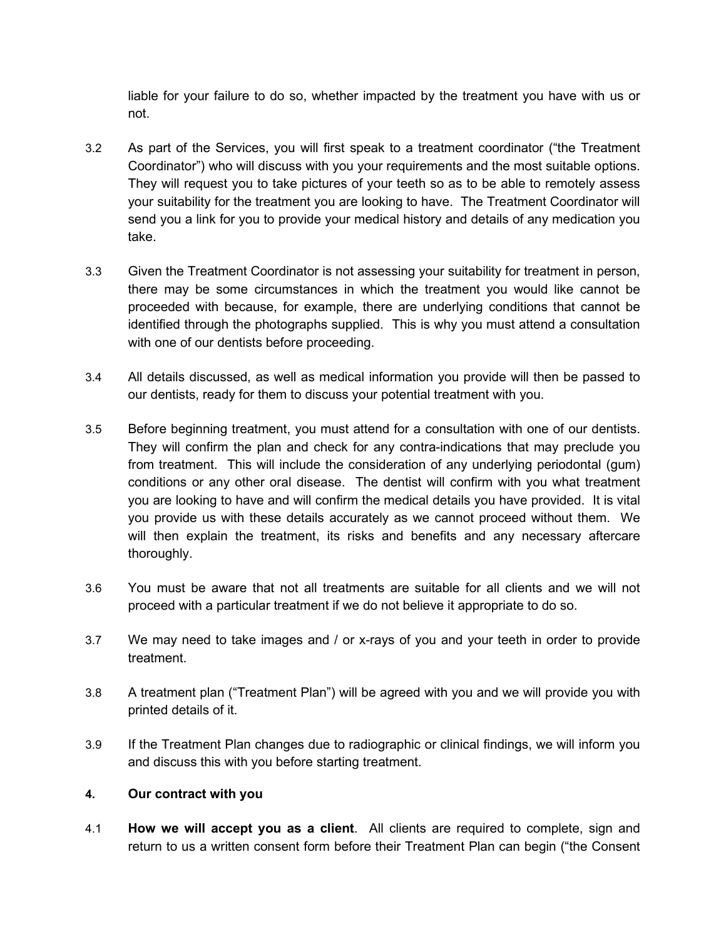liable for your failure to do so, whether impacted by the treatment you have with us or not.

- 3.2 As part of the Services, you will first speak to a treatment coordinator ("the Treatment Coordinator") who will discuss with you your requirements and the most suitable options. They will request you to take pictures of your teeth so as to be able to remotely assess your suitability for the treatment you are looking to have. The Treatment Coordinator will send you a link for you to provide your medical history and details of any medication you take.
- 3.3 Given the Treatment Coordinator is not assessing your suitability for treatment in person, there may be some circumstances in which the treatment you would like cannot be proceeded with because, for example, there are underlying conditions that cannot be identified through the photographs supplied. This is why you must attend a consultation with one of our dentists before proceeding.
- 3.4 All details discussed, as well as medical information you provide will then be passed to our dentists, ready for them to discuss your potential treatment with you.
- 3.5 Before beginning treatment, you must attend for a consultation with one of our dentists. They will confirm the plan and check for any contra-indications that may preclude you from treatment. This will include the consideration of any underlying periodontal (gum) conditions or any other oral disease. The dentist will confirm with you what treatment you are looking to have and will confirm the medical details you have provided. It is vital you provide us with these details accurately as we cannot proceed without them. We will then explain the treatment, its risks and benefits and any necessary aftercare thoroughly.
- 3.6 You must be aware that not all treatments are suitable for all clients and we will not proceed with a particular treatment if we do not believe it appropriate to do so.
- 3.7 We may need to take images and / or x-rays of you and your teeth in order to provide treatment.
- 3.8 A treatment plan ("Treatment Plan") will be agreed with you and we will provide you with printed details of it.
- 3.9 If the Treatment Plan changes due to radiographic or clinical findings, we will inform you and discuss this with you before starting treatment.

## **4. Our contract with you**

4.1 **How we will accept you as a client**.All clients are required to complete, sign and return to us a written consent form before their Treatment Plan can begin ("the Consent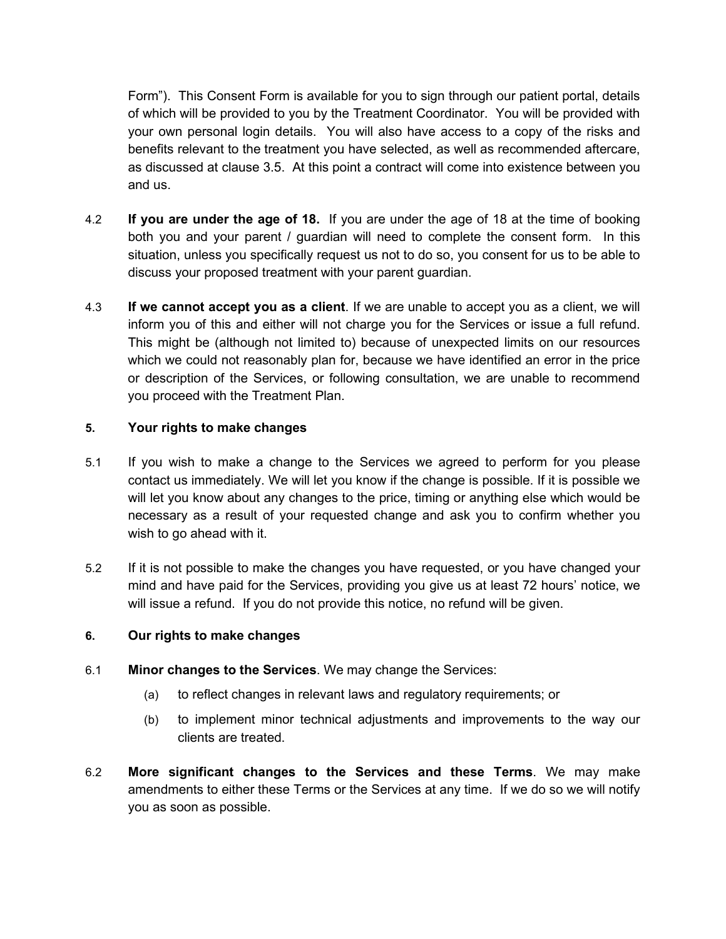Form"). This Consent Form is available for you to sign through our patient portal, details of which will be provided to you by the Treatment Coordinator. You will be provided with your own personal login details. You will also have access to a copy of the risks and benefits relevant to the treatment you have selected, as well as recommended aftercare, as discussed at clause 3.5. At this point a contract will come into existence between you and us.

- 4.2 **If you are under the age of 18.** If you are under the age of 18 at the time of booking both you and your parent / guardian will need to complete the consent form. In this situation, unless you specifically request us not to do so, you consent for us to be able to discuss your proposed treatment with your parent guardian.
- 4.3 **If we cannot accept you as a client**. If we are unable to accept you as a client, we will inform you of this and either will not charge you for the Services or issue a full refund. This might be (although not limited to) because of unexpected limits on our resources which we could not reasonably plan for, because we have identified an error in the price or description of the Services, or following consultation, we are unable to recommend you proceed with the Treatment Plan.

## **5. Your rights to make changes**

- 5.1 If you wish to make a change to the Services we agreed to perform for you please contact us immediately. We will let you know if the change is possible. If it is possible we will let you know about any changes to the price, timing or anything else which would be necessary as a result of your requested change and ask you to confirm whether you wish to go ahead with it.
- 5.2 If it is not possible to make the changes you have requested, or you have changed your mind and have paid for the Services, providing you give us at least 72 hours' notice, we will issue a refund. If you do not provide this notice, no refund will be given.

## <span id="page-2-0"></span>**6. Our rights to make changes**

- 6.1 **Minor changes to the Services**. We may change the Services:
	- (a) to reflect changes in relevant laws and regulatory requirements; or
	- (b) to implement minor technical adjustments and improvements to the way our clients are treated.
- 6.2 **More significant changes to the Services and these Terms**. We may make amendments to either these Terms or the Services at any time. If we do so we will notify you as soon as possible.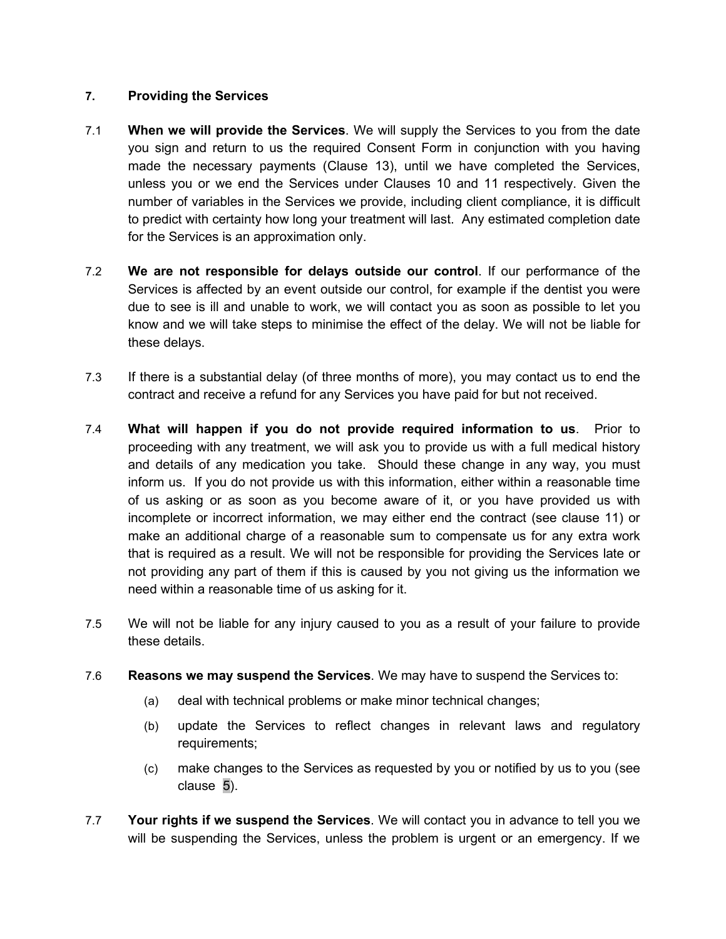# **7. Providing the Services**

- 7.1 **When we will provide the Services**. We will supply the Services to you from the date you sign and return to us the required Consent Form in conjunction with you having made the necessary payments (Clause 13), until we have completed the Services, unless you or we end the Services under Clauses 10 and 11 respectively. Given the number of variables in the Services we provide, including client compliance, it is difficult to predict with certainty how long your treatment will last. Any estimated completion date for the Services is an approximation only.
- 7.2 **We are not responsible for delays outside our control**. If our performance of the Services is affected by an event outside our control, for example if the dentist you were due to see is ill and unable to work, we will contact you as soon as possible to let you know and we will take steps to minimise the effect of the delay. We will not be liable for these delays.
- 7.3 If there is a substantial delay (of three months of more), you may contact us to end the contract and receive a refund for any Services you have paid for but not received.
- 7.4 **What will happen if you do not provide required information to us**. Prior to proceeding with any treatment, we will ask you to provide us with a full medical history and details of any medication you take. Should these change in any way, you must inform us. If you do not provide us with this information, either within a reasonable time of us asking or as soon as you become aware of it, or you have provided us with incomplete or incorrect information, we may either end the contract (see clause 11) or make an additional charge of a reasonable sum to compensate us for any extra work that is required as a result. We will not be responsible for providing the Services late or not providing any part of them if this is caused by you not giving us the information we need within a reasonable time of us asking for it.
- 7.5 We will not be liable for any injury caused to you as a result of your failure to provide these details.
- 7.6 **Reasons we may suspend the Services**. We may have to suspend the Services to:
	- (a) deal with technical problems or make minor technical changes;
	- (b) update the Services to reflect changes in relevant laws and regulatory requirements;
	- (c) make changes to the Services as requested by you or notified by us to you (see clause [5\)](#page-2-0).
- 7.7 **Your rights if we suspend the Services**. We will contact you in advance to tell you we will be suspending the Services, unless the problem is urgent or an emergency. If we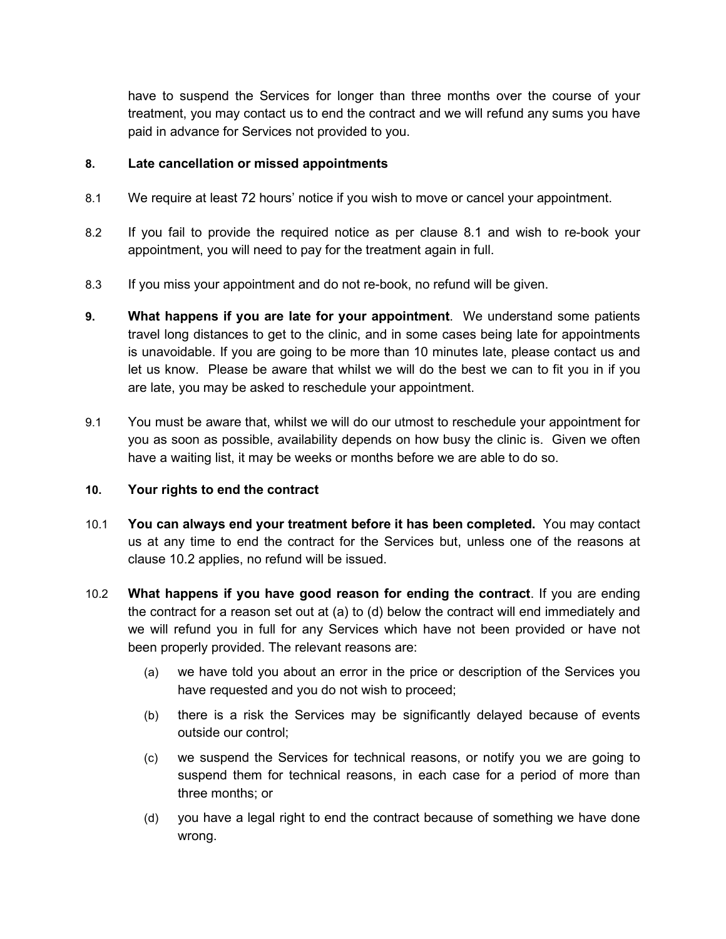have to suspend the Services for longer than three months over the course of your treatment, you may contact us to end the contract and we will refund any sums you have paid in advance for Services not provided to you.

### **8. Late cancellation or missed appointments**

- 8.1 We require at least 72 hours' notice if you wish to move or cancel your appointment.
- 8.2 If you fail to provide the required notice as per clause 8.1 and wish to re-book your appointment, you will need to pay for the treatment again in full.
- 8.3 If you miss your appointment and do not re-book, no refund will be given.
- **9. What happens if you are late for your appointment**. We understand some patients travel long distances to get to the clinic, and in some cases being late for appointments is unavoidable. If you are going to be more than 10 minutes late, please contact us and let us know. Please be aware that whilst we will do the best we can to fit you in if you are late, you may be asked to reschedule your appointment.
- 9.1 You must be aware that, whilst we will do our utmost to reschedule your appointment for you as soon as possible, availability depends on how busy the clinic is. Given we often have a waiting list, it may be weeks or months before we are able to do so.

#### **10. Your rights to end the contract**

- 10.1 **You can always end your treatment before it has been completed.** You may contact us at any time to end the contract for the Services but, unless one of the reasons at clause 10.2 applies, no refund will be issued.
- 10.2 **What happens if you have good reason for ending the contract**. If you are ending the contract for a reason set out at (a) to (d) below the contract will end immediately and we will refund you in full for any Services which have not been provided or have not been properly provided. The relevant reasons are:
	- (a) we have told you about an error in the price or description of the Services you have requested and you do not wish to proceed;
	- (b) there is a risk the Services may be significantly delayed because of events outside our control;
	- (c) we suspend the Services for technical reasons, or notify you we are going to suspend them for technical reasons, in each case for a period of more than three months; or
	- (d) you have a legal right to end the contract because of something we have done wrong.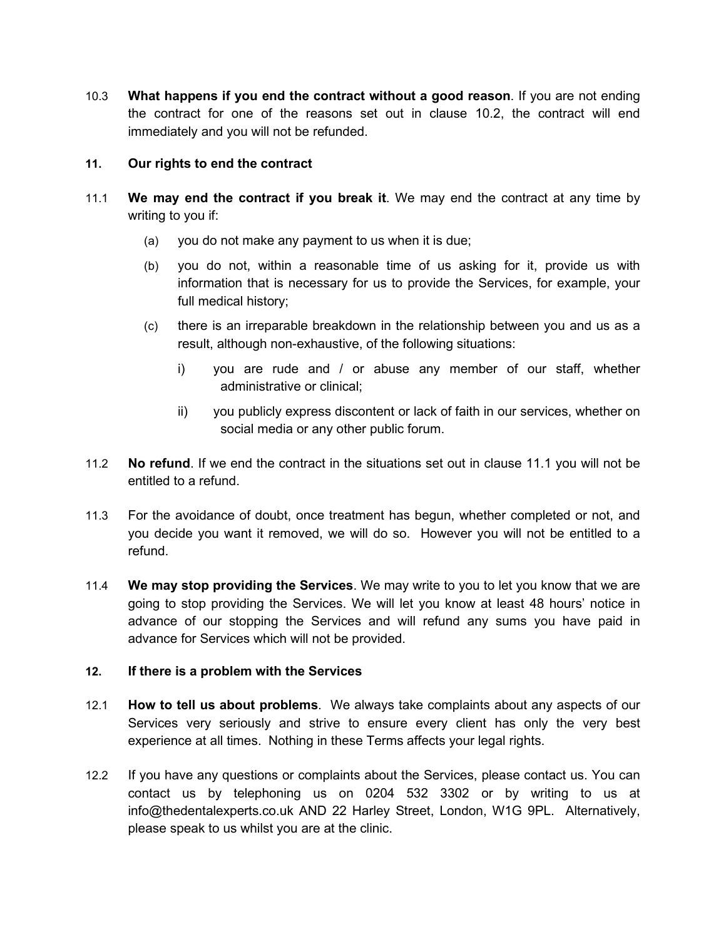10.3 **What happens if you end the contract without a good reason**. If you are not ending the contract for one of the reasons set out in clause 10.2, the contract will end immediately and you will not be refunded.

## **11. Our rights to end the contract**

- 11.1 **We may end the contract if you break it**. We may end the contract at any time by writing to you if:
	- (a) you do not make any payment to us when it is due;
	- (b) you do not, within a reasonable time of us asking for it, provide us with information that is necessary for us to provide the Services, for example, your full medical history;
	- (c) there is an irreparable breakdown in the relationship between you and us as a result, although non-exhaustive, of the following situations:
		- i) you are rude and / or abuse any member of our staff, whether administrative or clinical;
		- ii) you publicly express discontent or lack of faith in our services, whether on social media or any other public forum.
- 11.2 **No refund**. If we end the contract in the situations set out in clause 11.1 you will not be entitled to a refund.
- 11.3 For the avoidance of doubt, once treatment has begun, whether completed or not, and you decide you want it removed, we will do so. However you will not be entitled to a refund.
- 11.4 **We may stop providing the Services**. We may write to you to let you know that we are going to stop providing the Services. We will let you know at least 48 hours' notice in advance of our stopping the Services and will refund any sums you have paid in advance for Services which will not be provided.

## **12. If there is a problem with the Services**

- 12.1 **How to tell us about problems**. We always take complaints about any aspects of our Services very seriously and strive to ensure every client has only the very best experience at all times. Nothing in these Terms affects your legal rights.
- 12.2 If you have any questions or complaints about the Services, please contact us. You can contact us by telephoning us on 0204 532 3302 or by writing to us at info@thedentalexperts.co.uk AND 22 Harley Street, London, W1G 9PL. Alternatively, please speak to us whilst you are at the clinic.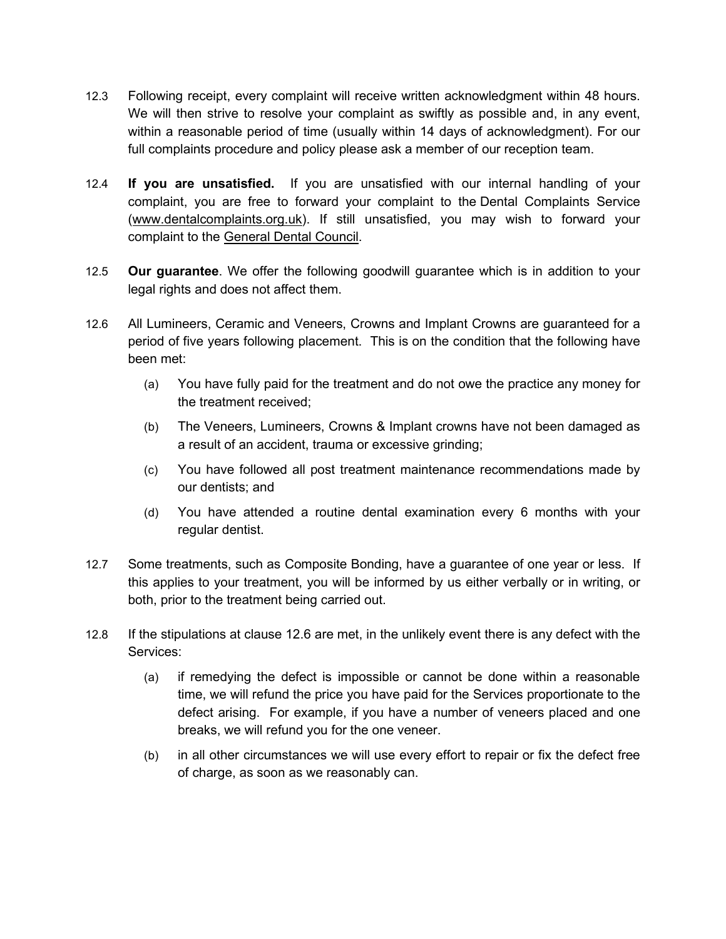- 12.3 Following receipt, every complaint will receive written acknowledgment within 48 hours. We will then strive to resolve your complaint as swiftly as possible and, in any event, within a reasonable period of time (usually within 14 days of acknowledgment). For our full complaints procedure and policy please ask a member of our reception team.
- 12.4 **If you are unsatisfied.** If you are unsatisfied with our internal handling of your complaint, you are free to forward your complaint to the Dental Complaints Service [\(www.dentalcomplaints.org.uk\)](http://www.dentalcomplaints.org.uk/). If still unsatisfied, you may wish to forward your complaint to the [General Dental Council.](http://www.gdc-uk.org/)
- 12.5 **Our guarantee**. We offer the following goodwill guarantee which is in addition to your legal rights and does not affect them.
- 12.6 All Lumineers, Ceramic and Veneers, Crowns and Implant Crowns are guaranteed for a period of five years following placement. This is on the condition that the following have been met:
	- (a) You have fully paid for the treatment and do not owe the practice any money for the treatment received;
	- (b) The Veneers, Lumineers, Crowns & Implant crowns have not been damaged as a result of an accident, trauma or excessive grinding;
	- (c) You have followed all post treatment maintenance recommendations made by our dentists; and
	- (d) You have attended a routine dental examination every 6 months with your regular dentist.
- 12.7 Some treatments, such as Composite Bonding, have a guarantee of one year or less. If this applies to your treatment, you will be informed by us either verbally or in writing, or both, prior to the treatment being carried out.
- 12.8 If the stipulations at clause 12.6 are met, in the unlikely event there is any defect with the Services:
	- (a) if remedying the defect is impossible or cannot be done within a reasonable time, we will refund the price you have paid for the Services proportionate to the defect arising. For example, if you have a number of veneers placed and one breaks, we will refund you for the one veneer.
	- (b) in all other circumstances we will use every effort to repair or fix the defect free of charge, as soon as we reasonably can.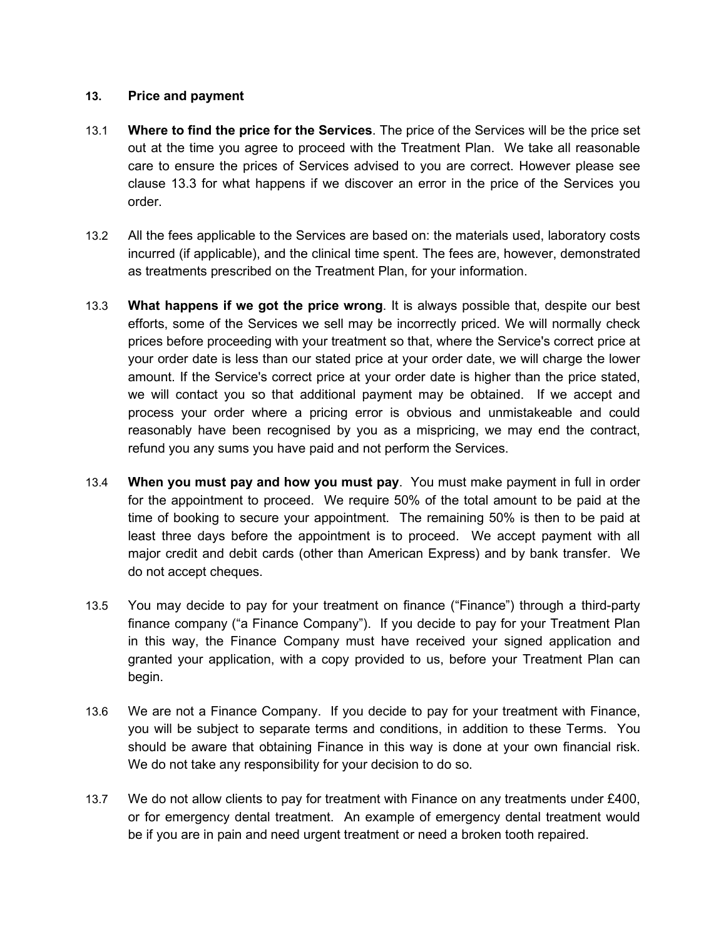### **13. Price and payment**

- 13.1 **Where to find the price for the Services**. The price of the Services will be the price set out at the time you agree to proceed with the Treatment Plan. We take all reasonable care to ensure the prices of Services advised to you are correct. However please see clause 13.3 for what happens if we discover an error in the price of the Services you order.
- 13.2 All the fees applicable to the Services are based on: the materials used, laboratory costs incurred (if applicable), and the clinical time spent. The fees are, however, demonstrated as treatments prescribed on the Treatment Plan, for your information.
- 13.3 **What happens if we got the price wrong**. It is always possible that, despite our best efforts, some of the Services we sell may be incorrectly priced. We will normally check prices before proceeding with your treatment so that, where the Service's correct price at your order date is less than our stated price at your order date, we will charge the lower amount. If the Service's correct price at your order date is higher than the price stated, we will contact you so that additional payment may be obtained. If we accept and process your order where a pricing error is obvious and unmistakeable and could reasonably have been recognised by you as a mispricing, we may end the contract, refund you any sums you have paid and not perform the Services.
- 13.4 **When you must pay and how you must pay**. You must make payment in full in order for the appointment to proceed. We require 50% of the total amount to be paid at the time of booking to secure your appointment. The remaining 50% is then to be paid at least three days before the appointment is to proceed. We accept payment with all major credit and debit cards (other than American Express) and by bank transfer. We do not accept cheques.
- 13.5 You may decide to pay for your treatment on finance ("Finance") through a third-party finance company ("a Finance Company"). If you decide to pay for your Treatment Plan in this way, the Finance Company must have received your signed application and granted your application, with a copy provided to us, before your Treatment Plan can begin.
- 13.6 We are not a Finance Company. If you decide to pay for your treatment with Finance, you will be subject to separate terms and conditions, in addition to these Terms. You should be aware that obtaining Finance in this way is done at your own financial risk. We do not take any responsibility for your decision to do so.
- 13.7 We do not allow clients to pay for treatment with Finance on any treatments under £400, or for emergency dental treatment. An example of emergency dental treatment would be if you are in pain and need urgent treatment or need a broken tooth repaired.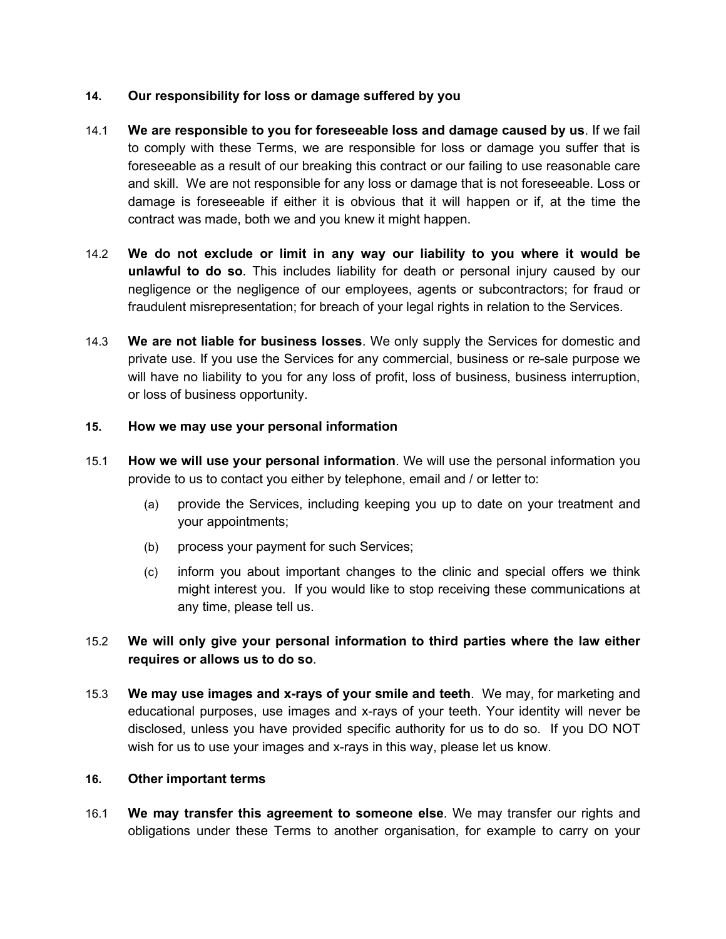# **14. Our responsibility for loss or damage suffered by you**

- 14.1 **We are responsible to you for foreseeable loss and damage caused by us**. If we fail to comply with these Terms, we are responsible for loss or damage you suffer that is foreseeable as a result of our breaking this contract or our failing to use reasonable care and skill. We are not responsible for any loss or damage that is not foreseeable. Loss or damage is foreseeable if either it is obvious that it will happen or if, at the time the contract was made, both we and you knew it might happen.
- 14.2 **We do not exclude or limit in any way our liability to you where it would be unlawful to do so**. This includes liability for death or personal injury caused by our negligence or the negligence of our employees, agents or subcontractors; for fraud or fraudulent misrepresentation; for breach of your legal rights in relation to the Services.
- 14.3 **We are not liable for business losses**. We only supply the Services for domestic and private use. If you use the Services for any commercial, business or re-sale purpose we will have no liability to you for any loss of profit, loss of business, business interruption, or loss of business opportunity.

## **15. How we may use your personal information**

- 15.1 **How we will use your personal information**. We will use the personal information you provide to us to contact you either by telephone, email and / or letter to:
	- (a) provide the Services, including keeping you up to date on your treatment and your appointments;
	- (b) process your payment for such Services;
	- (c) inform you about important changes to the clinic and special offers we think might interest you. If you would like to stop receiving these communications at any time, please tell us.

# 15.2 **We will only give your personal information to third parties where the law either requires or allows us to do so**.

15.3 **We may use images and x-rays of your smile and teeth**. We may, for marketing and educational purposes, use images and x-rays of your teeth. Your identity will never be disclosed, unless you have provided specific authority for us to do so. If you DO NOT wish for us to use your images and x-rays in this way, please let us know.

## **16. Other important terms**

16.1 **We may transfer this agreement to someone else**. We may transfer our rights and obligations under these Terms to another organisation, for example to carry on your